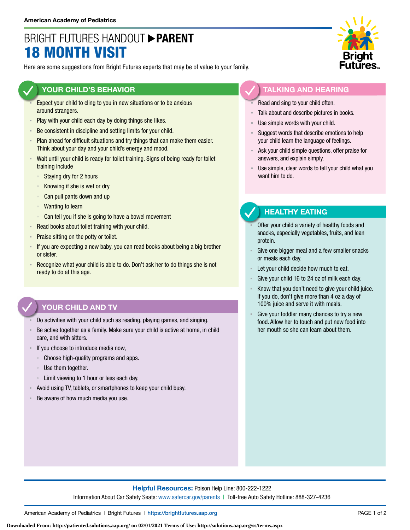# BRIGHT FUTURES HANDOUT **PARENT** 18 MONTH VISIT

Here are some suggestions from Bright Futures experts that may be of value to your family.

### **YOUR CHILD'S BEHAVIOR**

- Expect your child to cling to you in new situations or to be anxious around strangers.
- **Play with your child each day by doing things she likes.**
- Be consistent in discipline and setting limits for your child.
- Plan ahead for difficult situations and try things that can make them easier. Think about your day and your child's energy and mood.
- Wait until your child is ready for toilet training. Signs of being ready for toilet training include
	- Staying dry for 2 hours
	- Knowing if she is wet or dry
	- Can pull pants down and up
	- Wanting to learn
	- Can tell you if she is going to have a bowel movement
- Read books about toilet training with your child.
- **Praise sitting on the potty or toilet.**
- If you are expecting a new baby, you can read books about being a big brother or sister.
- **EXECOGNIZE WHAT YOUT CHILD IS ADLE TO ADDUCE 10 OF THE UP THE UP THE UP THE UP THE UP THE UP THE IS NOT THE ISL** ready to do at this age.

### **YOUR CHILD AND TV**

- Do activities with your child such as reading, playing games, and singing.
- Be active together as a family. Make sure your child is active at home, in child care, and with sitters.
- If you choose to introduce media now,
	- Choose high-quality programs and apps.
	- Use them together.
	- Limit viewing to 1 hour or less each day.
- Avoid using TV, tablets, or smartphones to keep your child busy.
- Be aware of how much media you use.



#### **TALKING AND HEARING**

- Read and sing to your child often.
- Talk about and describe pictures in books.
- Use simple words with your child.
- Suggest words that describe emotions to help your child learn the language of feelings.
- Ask your child simple questions, offer praise for answers, and explain simply.
- Use simple, clear words to tell your child what you want him to do.

### **HEALTHY EATING**

- Offer your child a variety of healthy foods and snacks, especially vegetables, fruits, and lean protein.
- Give one bigger meal and a few smaller snacks or meals each day.
- Let your child decide how much to eat.
- Give your child 16 to 24 oz of milk each day.
- Know that you don't need to give your child juice. If you do, don't give more than 4 oz a day of 100% juice and serve it with meals.
- Give your toddler many chances to try a new food. Allow her to touch and put new food into her mouth so she can learn about them.

**Helpful Resources:** Poison Help Line: 800-222-1222 Information About Car Safety Seats: [www.safercar.gov/parents](https://www.nhtsa.gov/parents-and-caregivers) | Toll-free Auto Safety Hotline: 888-327-4236

American Academy of Pediatrics | Bright Futures | https://[brightfutures.aap.org](https://brightfutures.aap.org/Pages/default.aspx) PAGE 1 of 2